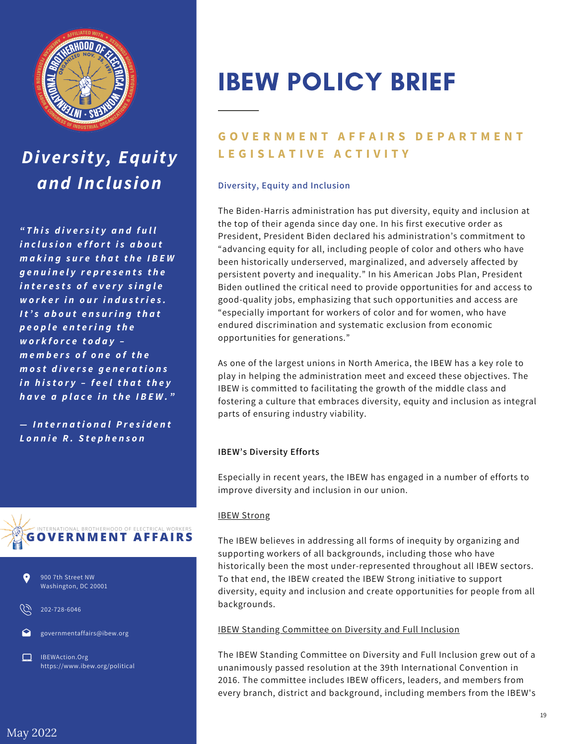

## *Diversity, Equity and Inclusion*

*" T h is d iv e r s i t y a n d f u ll i n c l u s i o n e f f o rt i s a b o u t m a k in g s u r e t h a t t h e I B E W g e n u in e ly r e p r e s e n t s t h e i n t e r e s t s o f e v e r y s i n g le w o r k e r i n o u r i n d u s tri e s . I t ' s a b o u t e n s u ri n g t h a t p e o p le e n t e ri n g t h e w o r k f o r c e t o d a y – m e m b e r s o f o n e o f t h e m o s t d i v e r s e g e n e r a t i o n s i n h is t o r y – f e e lt h a t t h e y h a v e a p la c e i n t h e I B E W . "*

 $-$  *International President L o n n ie R . S t e p h e n s o n*





202-728-6046

governmentaffairs@ibew.org

IBEWAction.Org https://www.ibew.org/political

# IBEW POLICY BRIEF

### **GOVERNMENT AFFAIRS DEPARTMENT L E G I S L A T I V E A C T I V I T Y**

#### **Diversity, Equity and Inclusion**

The Biden-Harris administration has put diversity, equity and inclusion at the top of their agenda since day one. In his first executive order as President, President Biden declared his administration's commitment to "advancing equity for all, including people of color and others who have been historically underserved, marginalized, and adversely affected by persistent poverty and inequality." In his American Jobs Plan, President Biden outlined the critical need to provide opportunities for and access to good-quality jobs, emphasizing that such opportunities and access are "especially important for workers of color and for women, who have endured discrimination and systematic exclusion from economic opportunities for generations."

As one of the largest unions in North America, the IBEW has a key role to play in helping the administration meet and exceed these objectives. The IBEW is committed to facilitating the growth of the middle class and fostering a culture that embraces diversity, equity and inclusion as integral parts of ensuring industry viability.

#### **IBEW's Diversity Efforts**

Especially in recent years, the IBEW has engaged in a number of efforts to improve diversity and inclusion in our union.

#### IBEW Strong

The IBEW believes in addressing all forms of inequity by organizing and supporting workers of all backgrounds, including those who have historically been the most under-represented throughout all IBEW sectors. To that end, the IBEW created the IBEW Strong initiative to support diversity, equity and inclusion and create opportunities for people from all backgrounds.

#### IBEW Standing Committee on Diversity and Full Inclusion

The IBEW Standing Committee on Diversity and Full Inclusion grew out of a unanimously passed resolution at the 39th International Convention in 2016. The committee includes IBEW officers, leaders, and members from every branch, district and background, including members from the IBEW's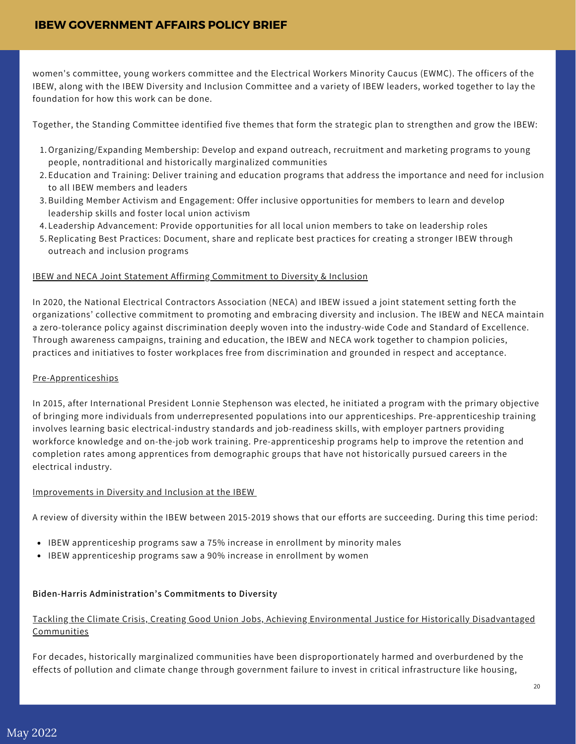women's committee, young workers committee and the Electrical Workers Minority Caucus (EWMC). The officers of the IBEW, along with the IBEW Diversity and Inclusion Committee and a variety of IBEW leaders, worked together to lay the foundation for how this work can be done.

Together, the Standing Committee identified five themes that form the strategic plan to strengthen and grow the IBEW:

- Organizing/Expanding Membership: Develop and expand outreach, recruitment and marketing programs to young 1. people, nontraditional and historically marginalized communities
- Education and Training: Deliver training and education programs that address the importance and need for inclusion 2. to all IBEW members and leaders
- 3. Building Member Activism and Engagement: Offer inclusive opportunities for members to learn and develop leadership skills and foster local union activism
- Leadership Advancement: Provide opportunities for all local union members to take on leadership roles 4.
- 5.Replicating Best Practices: Document, share and replicate best practices for creating a stronger IBEW through outreach and inclusion programs

#### IBEW and NECA Joint Statement Affirming Commitment to Diversity & Inclusion

In 2020, the National Electrical Contractors Association (NECA) and IBEW issued a joint statement setting forth the organizations' collective commitment to promoting and embracing diversity and inclusion. The IBEW and NECA maintain a zero-tolerance policy against discrimination deeply woven into the industry-wide Code and Standard of Excellence. Through awareness campaigns, training and education, the IBEW and NECA work together to champion policies, practices and initiatives to foster workplaces free from discrimination and grounded in respect and acceptance.

#### Pre-Apprenticeships

In 2015, after International President Lonnie Stephenson was elected, he initiated a program with the primary objective of bringing more individuals from underrepresented populations into our apprenticeships. Pre-apprenticeship training involves learning basic electrical-industry standards and job-readiness skills, with employer partners providing workforce knowledge and on-the-job work training. Pre-apprenticeship programs help to improve the retention and completion rates among apprentices from demographic groups that have not historically pursued careers in the electrical industry.

#### Improvements in Diversity and Inclusion at the IBEW

A review of diversity within the IBEW between 2015-2019 shows that our efforts are succeeding. During this time period:

- IBEW apprenticeship programs saw a 75% increase in enrollment by minority males
- IBEW apprenticeship programs saw a 90% increase in enrollment by women

#### **Biden-Harris Administration's Commitments to Diversity**

#### Tackling the Climate Crisis, Creating Good Union Jobs, Achieving Environmental Justice for Historically Disadvantaged **Communities**

For decades, historically marginalized communities have been disproportionately harmed and overburdened by the effects of pollution and climate change through government failure to invest in critical infrastructure like housing,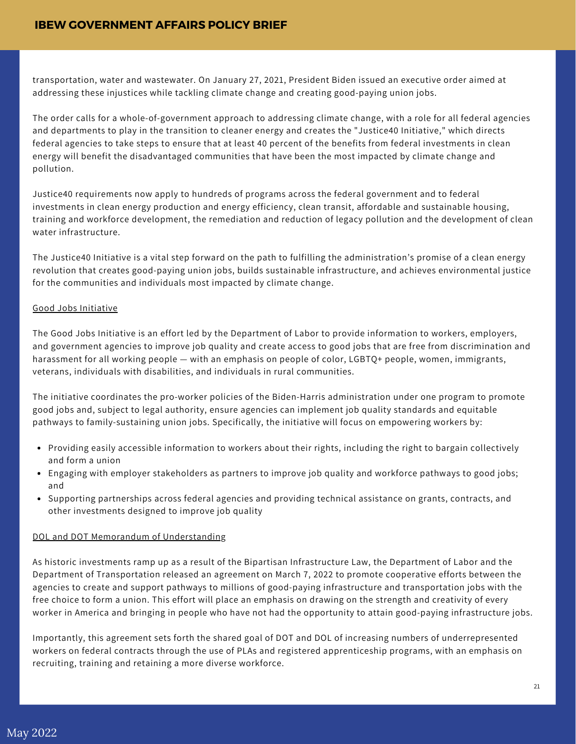transportation, water and wastewater. On January 27, 2021, President Biden issued an executive order aimed at addressing these injustices while tackling climate change and creating good-paying union jobs.

The order calls for a whole-of-government approach to addressing climate change, with a role for all federal agencies and departments to play in the transition to cleaner energy and creates the "Justice40 Initiative," which directs federal agencies to take steps to ensure that at least 40 percent of the benefits from federal investments in clean energy will benefit the disadvantaged communities that have been the most impacted by climate change and pollution.

Justice40 requirements now apply to hundreds of programs across the federal government and to federal investments in clean energy production and energy efficiency, clean transit, affordable and sustainable housing, training and workforce development, the remediation and reduction of legacy pollution and the development of clean water infrastructure.

The Justice40 Initiative is a vital step forward on the path to fulfilling the administration's promise of a clean energy revolution that creates good-paying union jobs, builds sustainable infrastructure, and achieves environmental justice for the communities and individuals most impacted by climate change.

#### Good Jobs Initiative

The Good Jobs Initiative is an effort led by the Department of Labor to provide information to workers, employers, and government agencies to improve job quality and create access to good jobs that are free from discrimination and harassment for all working people — with an emphasis on people of color, LGBTQ+ people, women, immigrants, veterans, individuals with disabilities, and individuals in rural communities.

The initiative coordinates the pro-worker policies of the Biden-Harris administration under one program to promote good jobs and, subject to legal authority, ensure agencies can implement job quality standards and equitable pathways to family-sustaining union jobs. Specifically, the initiative will focus on empowering workers by:

- Providing easily accessible information to workers about their rights, including the right to bargain collectively and form a union
- Engaging with employer stakeholders as partners to improve job quality and workforce pathways to good jobs; and
- Supporting partnerships across federal agencies and providing technical assistance on grants, contracts, and other investments designed to improve job quality

#### DOL and DOT Memorandum of Understanding

As historic investments ramp up as a result of the Bipartisan Infrastructure Law, the Department of Labor and the Department of Transportation released an agreement on March 7, 2022 to promote cooperative efforts between the agencies to create and support pathways to millions of good-paying infrastructure and transportation jobs with the free choice to form a union. This effort will place an emphasis on drawing on the strength and creativity of every worker in America and bringing in people who have not had the opportunity to attain good-paying infrastructure jobs.

Importantly, this agreement sets forth the shared goal of DOT and DOL of increasing numbers of underrepresented workers on federal contracts through the use of PLAs and registered apprenticeship programs, with an emphasis on recruiting, training and retaining a more diverse workforce.